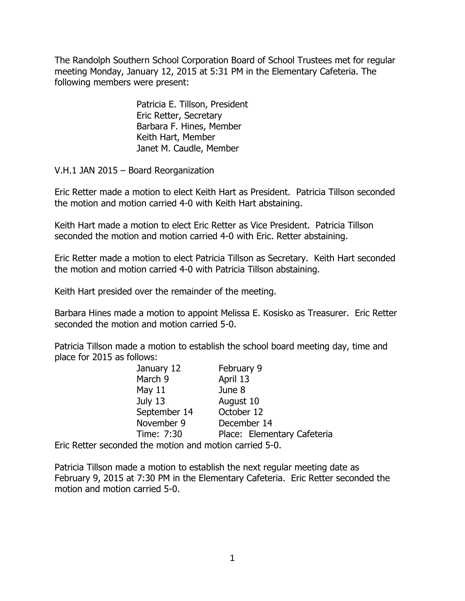The Randolph Southern School Corporation Board of School Trustees met for regular meeting Monday, January 12, 2015 at 5:31 PM in the Elementary Cafeteria. The following members were present:

> Patricia E. Tillson, President Eric Retter, Secretary Barbara F. Hines, Member Keith Hart, Member Janet M. Caudle, Member

V.H.1 JAN 2015 – Board Reorganization

Eric Retter made a motion to elect Keith Hart as President. Patricia Tillson seconded the motion and motion carried 4-0 with Keith Hart abstaining.

Keith Hart made a motion to elect Eric Retter as Vice President. Patricia Tillson seconded the motion and motion carried 4-0 with Eric. Retter abstaining.

Eric Retter made a motion to elect Patricia Tillson as Secretary. Keith Hart seconded the motion and motion carried 4-0 with Patricia Tillson abstaining.

Keith Hart presided over the remainder of the meeting.

Barbara Hines made a motion to appoint Melissa E. Kosisko as Treasurer. Eric Retter seconded the motion and motion carried 5-0.

Patricia Tillson made a motion to establish the school board meeting day, time and place for 2015 as follows:

| January 12                            | February 9                  |
|---------------------------------------|-----------------------------|
| March 9                               | April 13                    |
| May $11$                              | June 8                      |
| July 13                               | August 10                   |
| September 14                          | October 12                  |
| November 9                            | December 14                 |
| Time: 7:30                            | Place: Elementary Cafeteria |
| ded the motion and motion carried 5-0 |                             |

Eric Retter seconded the motion and motion carried 5-0.

Patricia Tillson made a motion to establish the next regular meeting date as February 9, 2015 at 7:30 PM in the Elementary Cafeteria. Eric Retter seconded the motion and motion carried 5-0.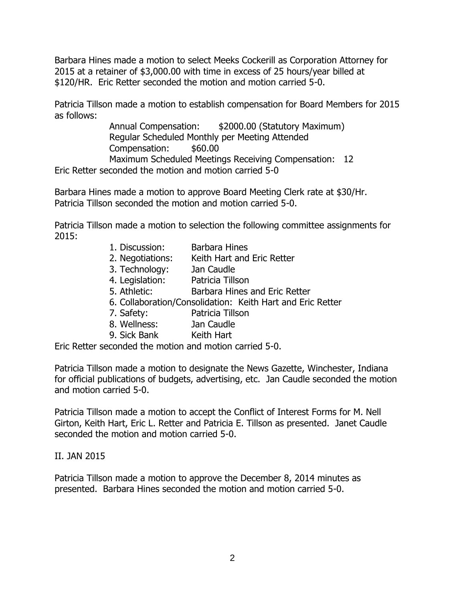Barbara Hines made a motion to select Meeks Cockerill as Corporation Attorney for 2015 at a retainer of \$3,000.00 with time in excess of 25 hours/year billed at \$120/HR. Eric Retter seconded the motion and motion carried 5-0.

Patricia Tillson made a motion to establish compensation for Board Members for 2015 as follows:

> Annual Compensation: \$2000.00 (Statutory Maximum) Regular Scheduled Monthly per Meeting Attended Compensation: \$60.00 Maximum Scheduled Meetings Receiving Compensation: 12

Eric Retter seconded the motion and motion carried 5-0

Barbara Hines made a motion to approve Board Meeting Clerk rate at \$30/Hr. Patricia Tillson seconded the motion and motion carried 5-0.

Patricia Tillson made a motion to selection the following committee assignments for 2015:

- 1. Discussion: Barbara Hines
- 2. Negotiations: Keith Hart and Eric Retter
- 3. Technology: Jan Caudle
- 4. Legislation: Patricia Tillson
- 5. Athletic: Barbara Hines and Eric Retter
- 6. Collaboration/Consolidation: Keith Hart and Eric Retter
- 7. Safety: Patricia Tillson
- 8. Wellness: Jan Caudle
- 9. Sick Bank Keith Hart

Eric Retter seconded the motion and motion carried 5-0.

Patricia Tillson made a motion to designate the News Gazette, Winchester, Indiana for official publications of budgets, advertising, etc. Jan Caudle seconded the motion and motion carried 5-0.

Patricia Tillson made a motion to accept the Conflict of Interest Forms for M. Nell Girton, Keith Hart, Eric L. Retter and Patricia E. Tillson as presented. Janet Caudle seconded the motion and motion carried 5-0.

#### II. JAN 2015

Patricia Tillson made a motion to approve the December 8, 2014 minutes as presented. Barbara Hines seconded the motion and motion carried 5-0.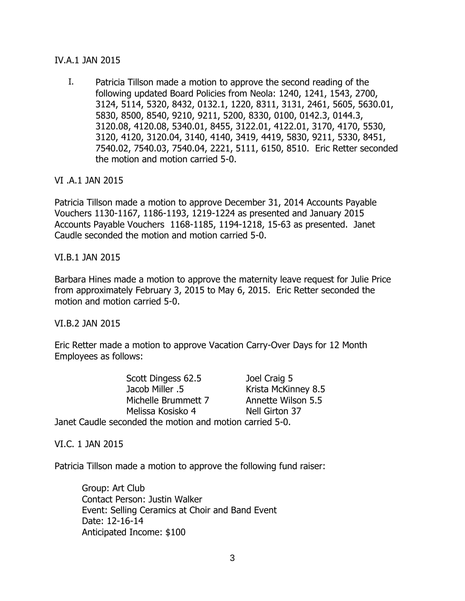## IV.A.1 JAN 2015

I. Patricia Tillson made a motion to approve the second reading of the following updated Board Policies from Neola: 1240, 1241, 1543, 2700, 3124, 5114, 5320, 8432, 0132.1, 1220, 8311, 3131, 2461, 5605, 5630.01, 5830, 8500, 8540, 9210, 9211, 5200, 8330, 0100, 0142.3, 0144.3, 3120.08, 4120.08, 5340.01, 8455, 3122.01, 4122.01, 3170, 4170, 5530, 3120, 4120, 3120.04, 3140, 4140, 3419, 4419, 5830, 9211, 5330, 8451, 7540.02, 7540.03, 7540.04, 2221, 5111, 6150, 8510. Eric Retter seconded the motion and motion carried 5-0.

## VI .A.1 JAN 2015

Patricia Tillson made a motion to approve December 31, 2014 Accounts Payable Vouchers 1130-1167, 1186-1193, 1219-1224 as presented and January 2015 Accounts Payable Vouchers 1168-1185, 1194-1218, 15-63 as presented. Janet Caudle seconded the motion and motion carried 5-0.

#### VI.B.1 JAN 2015

Barbara Hines made a motion to approve the maternity leave request for Julie Price from approximately February 3, 2015 to May 6, 2015. Eric Retter seconded the motion and motion carried 5-0.

#### VI.B.2 JAN 2015

Eric Retter made a motion to approve Vacation Carry-Over Days for 12 Month Employees as follows:

Scott Dingess 62.5 Joel Craig 5 Jacob Miller .5 Krista McKinney 8.5 Michelle Brummett 7 Annette Wilson 5.5 Melissa Kosisko 4 Nell Girton 37 Janet Caudle seconded the motion and motion carried 5-0.

VI.C. 1 JAN 2015

Patricia Tillson made a motion to approve the following fund raiser:

Group: Art Club Contact Person: Justin Walker Event: Selling Ceramics at Choir and Band Event Date: 12-16-14 Anticipated Income: \$100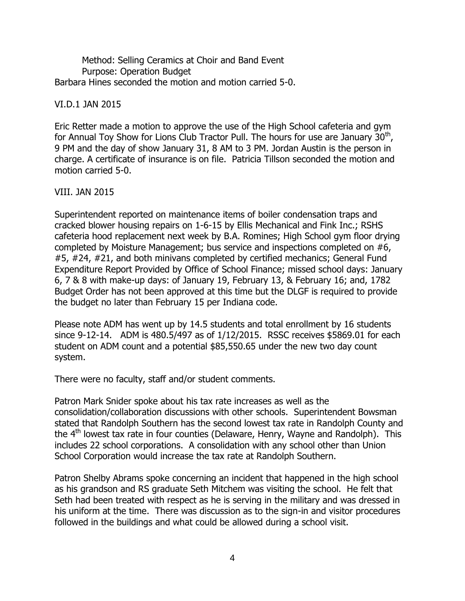Method: Selling Ceramics at Choir and Band Event Purpose: Operation Budget Barbara Hines seconded the motion and motion carried 5-0.

# VI.D.1 JAN 2015

Eric Retter made a motion to approve the use of the High School cafeteria and gym for Annual Toy Show for Lions Club Tractor Pull. The hours for use are January  $30<sup>th</sup>$ , 9 PM and the day of show January 31, 8 AM to 3 PM. Jordan Austin is the person in charge. A certificate of insurance is on file. Patricia Tillson seconded the motion and motion carried 5-0.

## VIII. JAN 2015

Superintendent reported on maintenance items of boiler condensation traps and cracked blower housing repairs on 1-6-15 by Ellis Mechanical and Fink Inc.; RSHS cafeteria hood replacement next week by B.A. Romines; High School gym floor drying completed by Moisture Management; bus service and inspections completed on #6, #5, #24, #21, and both minivans completed by certified mechanics; General Fund Expenditure Report Provided by Office of School Finance; missed school days: January 6, 7 & 8 with make-up days: of January 19, February 13, & February 16; and, 1782 Budget Order has not been approved at this time but the DLGF is required to provide the budget no later than February 15 per Indiana code.

Please note ADM has went up by 14.5 students and total enrollment by 16 students since 9-12-14. ADM is 480.5/497 as of 1/12/2015. RSSC receives \$5869.01 for each student on ADM count and a potential \$85,550.65 under the new two day count system.

There were no faculty, staff and/or student comments.

Patron Mark Snider spoke about his tax rate increases as well as the consolidation/collaboration discussions with other schools. Superintendent Bowsman stated that Randolph Southern has the second lowest tax rate in Randolph County and the  $4<sup>th</sup>$  lowest tax rate in four counties (Delaware, Henry, Wayne and Randolph). This includes 22 school corporations. A consolidation with any school other than Union School Corporation would increase the tax rate at Randolph Southern.

Patron Shelby Abrams spoke concerning an incident that happened in the high school as his grandson and RS graduate Seth Mitchem was visiting the school. He felt that Seth had been treated with respect as he is serving in the military and was dressed in his uniform at the time. There was discussion as to the sign-in and visitor procedures followed in the buildings and what could be allowed during a school visit.